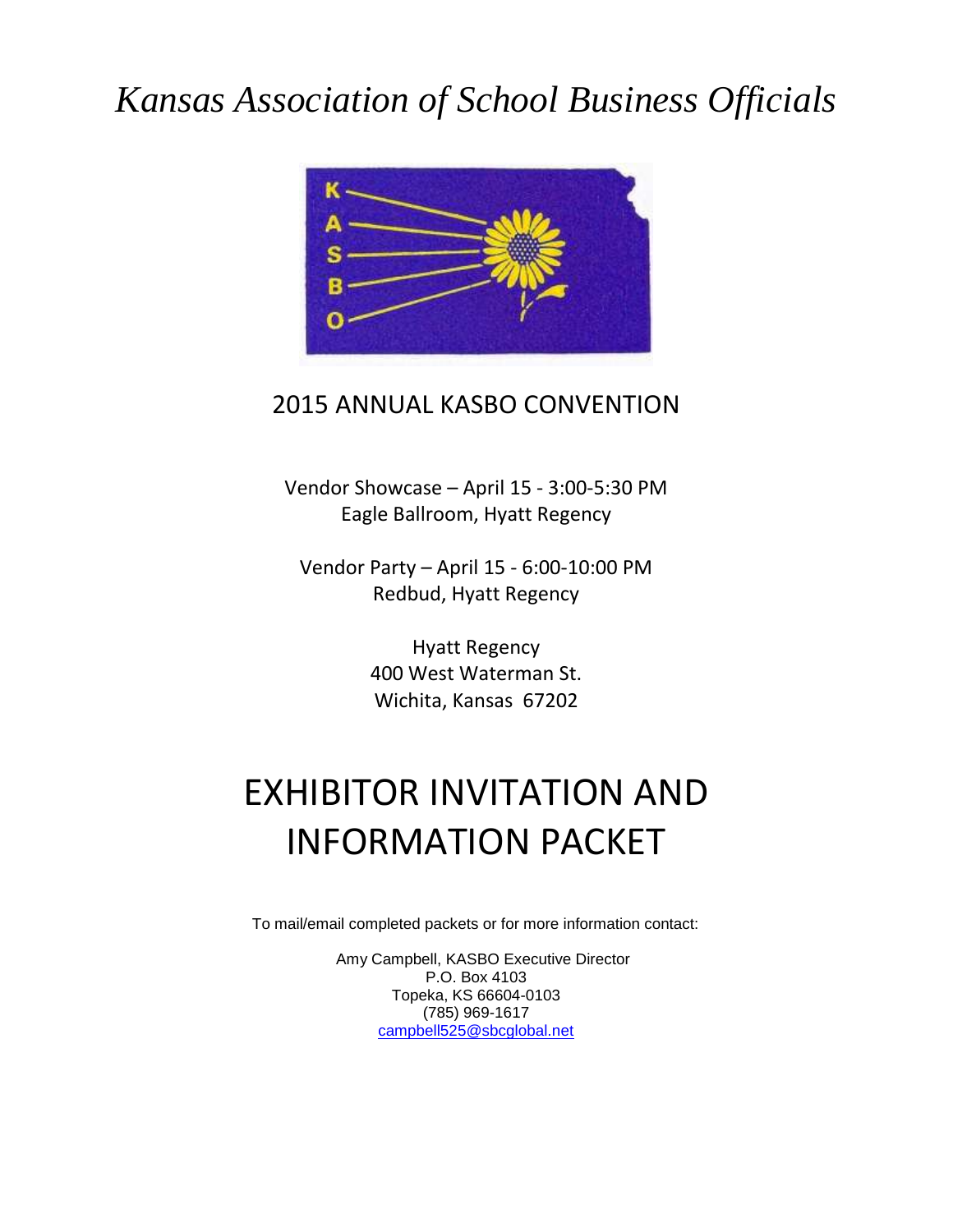## *Kansas Association of School Business Officials*



### 2015 ANNUAL KASBO CONVENTION

Vendor Showcase – April 15 - 3:00-5:30 PM Eagle Ballroom, Hyatt Regency

Vendor Party – April 15 - 6:00-10:00 PM Redbud, Hyatt Regency

> Hyatt Regency 400 West Waterman St. Wichita, Kansas 67202

## EXHIBITOR INVITATION AND INFORMATION PACKET

To mail/email completed packets or for more information contact:

Amy Campbell, KASBO Executive Director P.O. Box 4103 Topeka, KS 66604-0103 (785) 969-1617 [campbell525@sbcglobal.net](mailto:campbell525@sbcglobal.net)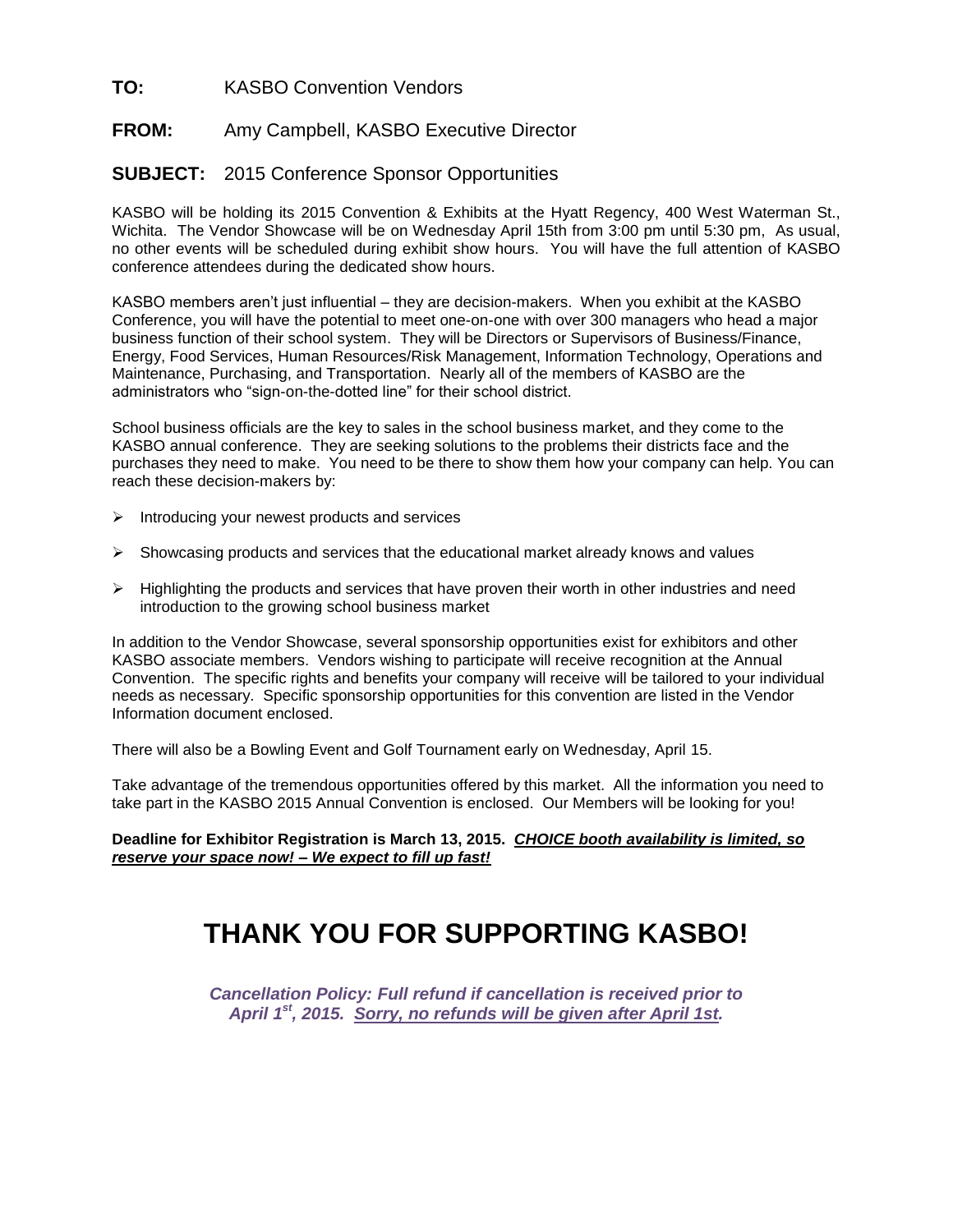### **TO:** KASBO Convention Vendors

#### **FROM:** Amy Campbell, KASBO Executive Director

#### **SUBJECT:** 2015 Conference Sponsor Opportunities

KASBO will be holding its 2015 Convention & Exhibits at the Hyatt Regency, 400 West Waterman St., Wichita. The Vendor Showcase will be on Wednesday April 15th from 3:00 pm until 5:30 pm, As usual, no other events will be scheduled during exhibit show hours. You will have the full attention of KASBO conference attendees during the dedicated show hours.

KASBO members aren't just influential – they are decision-makers. When you exhibit at the KASBO Conference, you will have the potential to meet one-on-one with over 300 managers who head a major business function of their school system. They will be Directors or Supervisors of Business/Finance, Energy, Food Services, Human Resources/Risk Management, Information Technology, Operations and Maintenance, Purchasing, and Transportation. Nearly all of the members of KASBO are the administrators who "sign-on-the-dotted line" for their school district.

School business officials are the key to sales in the school business market, and they come to the KASBO annual conference. They are seeking solutions to the problems their districts face and the purchases they need to make. You need to be there to show them how your company can help. You can reach these decision-makers by:

- $\triangleright$  Introducing your newest products and services
- $\triangleright$  Showcasing products and services that the educational market already knows and values
- $\triangleright$  Highlighting the products and services that have proven their worth in other industries and need introduction to the growing school business market

In addition to the Vendor Showcase, several sponsorship opportunities exist for exhibitors and other KASBO associate members. Vendors wishing to participate will receive recognition at the Annual Convention. The specific rights and benefits your company will receive will be tailored to your individual needs as necessary. Specific sponsorship opportunities for this convention are listed in the Vendor Information document enclosed.

There will also be a Bowling Event and Golf Tournament early on Wednesday, April 15.

Take advantage of the tremendous opportunities offered by this market. All the information you need to take part in the KASBO 2015 Annual Convention is enclosed. Our Members will be looking for you!

**Deadline for Exhibitor Registration is March 13, 2015.** *CHOICE booth availability is limited, so reserve your space now! – We expect to fill up fast!*

### **THANK YOU FOR SUPPORTING KASBO!**

*Cancellation Policy: Full refund if cancellation is received prior to April 1st, 2015. Sorry, no refunds will be given after April 1st.*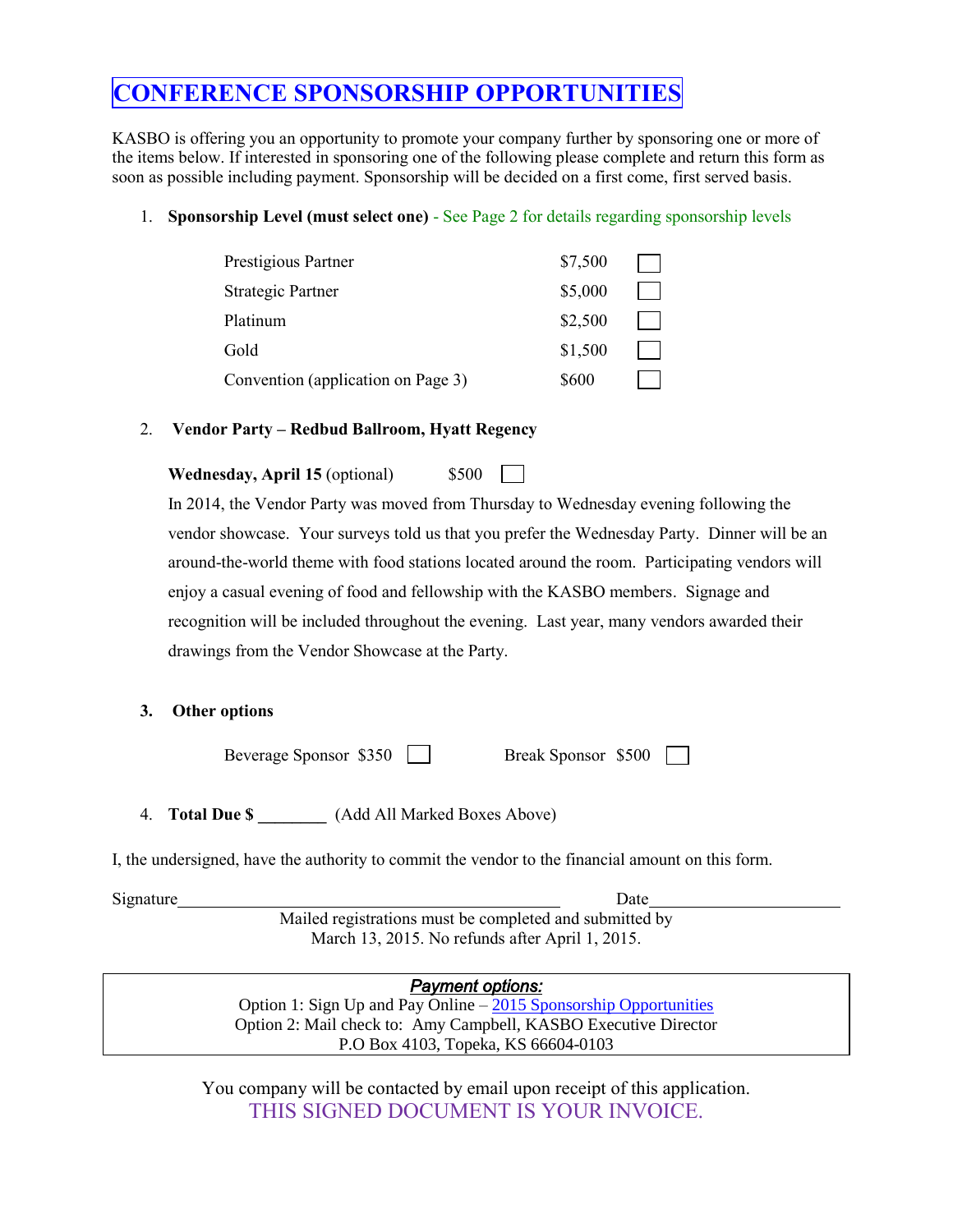### **CONFERENCE SPONSORSHIP OPPORTUNITIES**

KASBO is offering you an opportunity to promote your company further by sponsoring one or more of the items below. If interested in sponsoring one of the following please complete and return this form as soon as possible including payment. Sponsorship will be decided on a first come, first served basis.

### 1. **Sponsorship Level (must select one)** - See Page 2 for details regarding sponsorship levels

| Prestigious Partner                | \$7,500 |  |
|------------------------------------|---------|--|
| Strategic Partner                  | \$5,000 |  |
| Platinum                           | \$2,500 |  |
| Gold                               | \$1,500 |  |
| Convention (application on Page 3) | \$600   |  |

### 2. **Vendor Party – Redbud Ballroom, Hyatt Regency**

**Wednesday, April 15** (optional) \$500

In 2014, the Vendor Party was moved from Thursday to Wednesday evening following the vendor showcase. Your surveys told us that you prefer the Wednesday Party. Dinner will be an around-the-world theme with food stations located around the room. Participating vendors will enjoy a casual evening of food and fellowship with the KASBO members. Signage and recognition will be included throughout the evening. Last year, many vendors awarded their drawings from the Vendor Showcase at the Party.

 $\mathbf{I}$ 

### **3. Other options**

Beverage Sponsor \$350 Break Sponsor \$500

4. **Total Due \$ \_\_\_\_\_\_\_\_** (Add All Marked Boxes Above)

I, the undersigned, have the authority to commit the vendor to the financial amount on this form.

Signature Date Mailed registrations must be completed and submitted by March 13, 2015. No refunds after April 1, 2015.

> *Payment options:*  Option 1: Sign Up and Pay Online - 2015 [Sponsorship Opportunities](http://kasbo.wildapricot.org/event-1771300) Option 2: Mail check to: Amy Campbell, KASBO Executive Director P.O Box 4103, Topeka, KS 66604-0103

You company will be contacted by email upon receipt of this application. THIS SIGNED DOCUMENT IS YOUR INVOICE.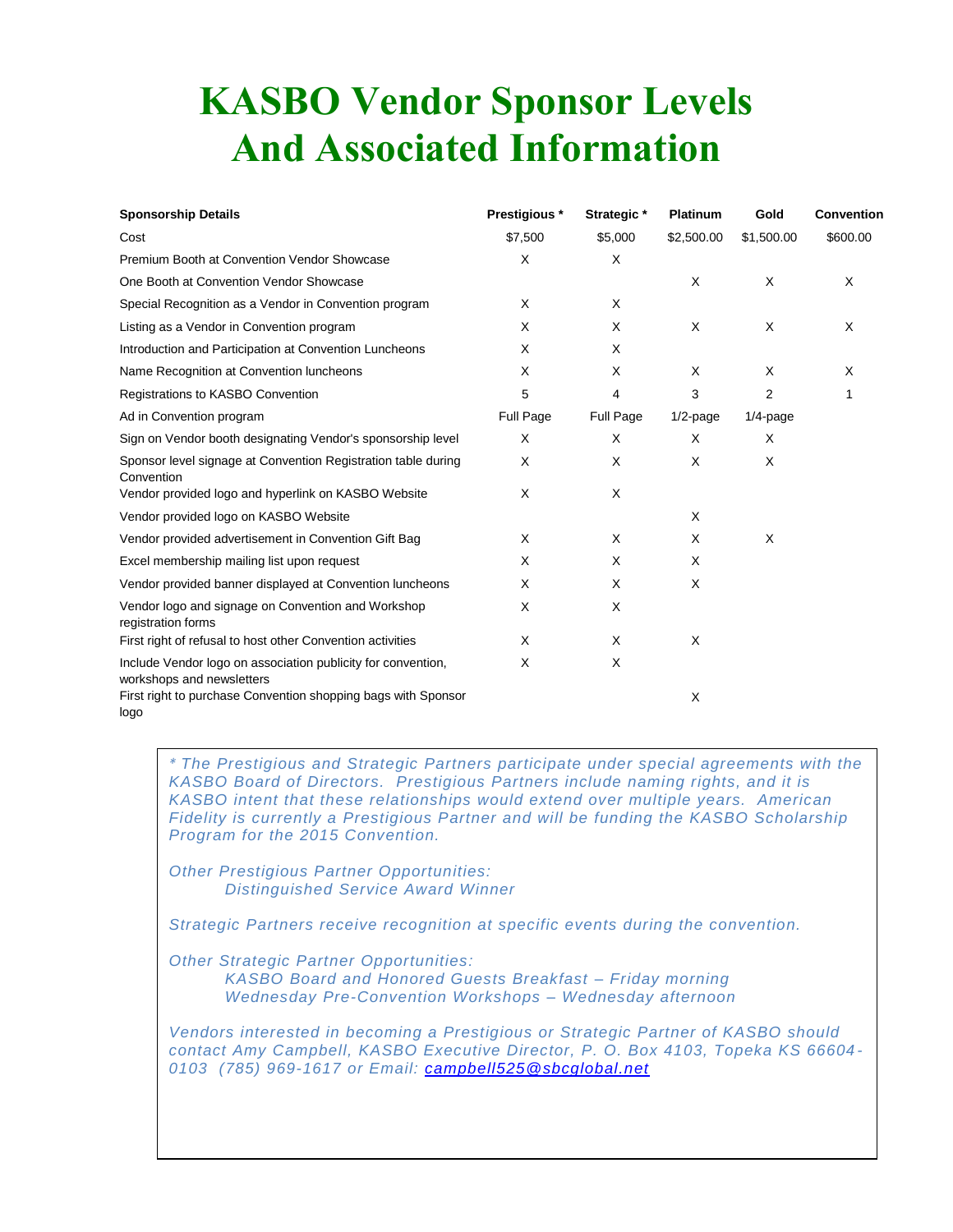# **KASBO Vendor Sponsor Levels And Associated Information**

| <b>Sponsorship Details</b>                                                                | Prestigious * | Strategic * | <b>Platinum</b> | Gold           | <b>Convention</b> |
|-------------------------------------------------------------------------------------------|---------------|-------------|-----------------|----------------|-------------------|
| Cost                                                                                      | \$7,500       | \$5,000     | \$2,500.00      | \$1,500.00     | \$600.00          |
| Premium Booth at Convention Vendor Showcase                                               | X             | X           |                 |                |                   |
| One Booth at Convention Vendor Showcase                                                   |               |             | X               | X              | X                 |
| Special Recognition as a Vendor in Convention program                                     | X             | X           |                 |                |                   |
| Listing as a Vendor in Convention program                                                 | X             | X           | X               | X              | X                 |
| Introduction and Participation at Convention Luncheons                                    | X             | X           |                 |                |                   |
| Name Recognition at Convention luncheons                                                  | X             | X           | X               | X              | Χ                 |
| Registrations to KASBO Convention                                                         | 5             | 4           | 3               | $\overline{2}$ | 1                 |
| Ad in Convention program                                                                  | Full Page     | Full Page   | $1/2$ -page     | $1/4$ -page    |                   |
| Sign on Vendor booth designating Vendor's sponsorship level                               | Χ             | X           | X               | X              |                   |
| Sponsor level signage at Convention Registration table during<br>Convention               | X             | X           | X               | X              |                   |
| Vendor provided logo and hyperlink on KASBO Website                                       | X             | X           |                 |                |                   |
| Vendor provided logo on KASBO Website                                                     |               |             | X               |                |                   |
| Vendor provided advertisement in Convention Gift Bag                                      | X             | X           | X               | X              |                   |
| Excel membership mailing list upon request                                                | X             | X           | X               |                |                   |
| Vendor provided banner displayed at Convention luncheons                                  | X             | X           | X               |                |                   |
| Vendor logo and signage on Convention and Workshop<br>registration forms                  | X             | X           |                 |                |                   |
| First right of refusal to host other Convention activities                                | X             | X           | X               |                |                   |
| Include Vendor logo on association publicity for convention,<br>workshops and newsletters | X             | X           |                 |                |                   |
| First right to purchase Convention shopping bags with Sponsor<br>logo                     |               |             | Χ               |                |                   |

*\* The Prestigious and Strategic Partners participate under special agreements with the KASBO Board of Directors. Prestigious Partners include naming rights, and it is KASBO intent that these relationships would extend over multiple years. American Fidelity is currently a Prestigious Partner and will be funding the KASBO Scholarship Program for the 2015 Convention.*

*Other Prestigious Partner Opportunities: Distinguished Service Award Winner*

*Strategic Partners receive recognition at specific events during the convention.* 

*Wednesday Pre-Convention Workshops – Wednesday afternoon*

*Other Strategic Partner Opportunities: KASBO Board and Honored Guests Breakfast – Friday morning*

*Vendors interested in becoming a Prestigious or Strategic Partner of KASBO should contact Amy Campbell, KASBO Executive Director, P. O. Box 4103, Topeka KS 66604 - 0103 (785) 969-1617 or Email: [campbell525@sbcglobal.net](mailto:campbell525@sbcglobal.net)*